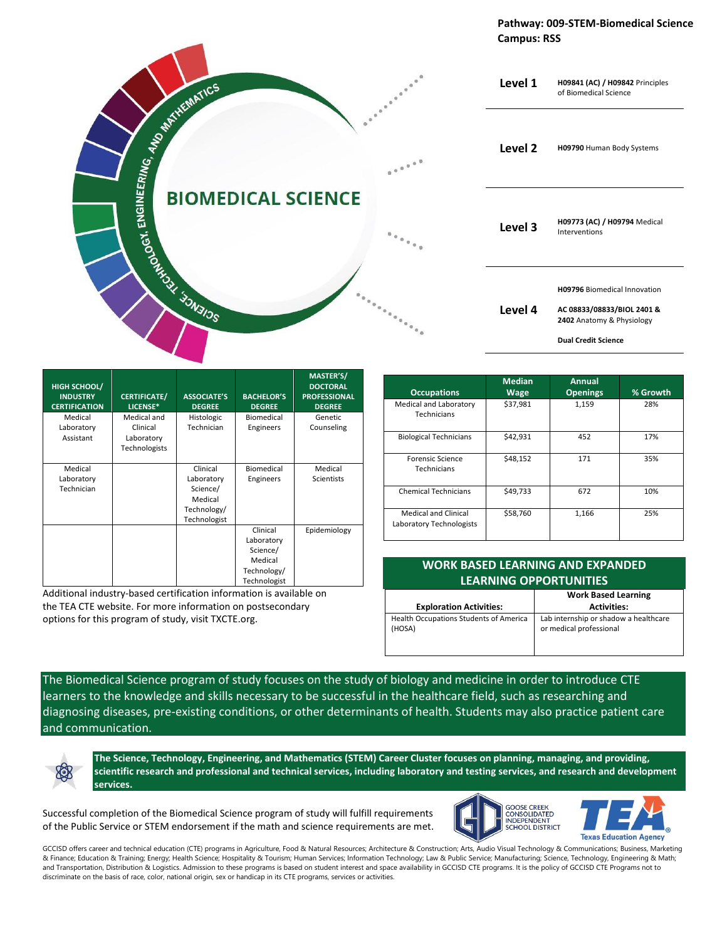**Pathway: 009-STEM-Biomedical Science Campus: RSS**



| HIGH SCHOOL/<br><b>INDUSTRY</b><br><b>CERTIFICATION</b> | <b>CERTIFICATE/</b><br>LICENSE* | <b>ASSOCIATE'S</b><br><b>DEGREE</b> | <b>BACHELOR'S</b><br><b>DEGREE</b> | <b>MASTER'S/</b><br><b>DOCTORAL</b><br><b>PROFESSIONAL</b><br><b>DEGREE</b> |
|---------------------------------------------------------|---------------------------------|-------------------------------------|------------------------------------|-----------------------------------------------------------------------------|
| Medical                                                 | Medical and                     | Histologic                          | Biomedical                         | Genetic                                                                     |
| Laboratory                                              | Clinical                        | Technician                          | Engineers                          | Counseling                                                                  |
| Assistant                                               | Laboratory                      |                                     |                                    |                                                                             |
|                                                         | Technologists                   |                                     |                                    |                                                                             |
| Medical                                                 |                                 | Clinical                            | Biomedical                         | Medical                                                                     |
| Laboratory                                              |                                 | Laboratory                          | Engineers                          | Scientists                                                                  |
| Technician                                              |                                 | Science/                            |                                    |                                                                             |
|                                                         |                                 | Medical                             |                                    |                                                                             |
|                                                         |                                 | Technology/                         |                                    |                                                                             |
|                                                         |                                 | Technologist                        |                                    |                                                                             |
|                                                         |                                 |                                     | Clinical                           | Epidemiology                                                                |
|                                                         |                                 |                                     | Laboratory                         |                                                                             |
|                                                         |                                 |                                     | Science/                           |                                                                             |
|                                                         |                                 |                                     | Medical                            |                                                                             |
|                                                         |                                 |                                     | Technology/                        |                                                                             |
|                                                         |                                 |                                     | Technologist                       |                                                                             |

Additional industry-based certification information is available on the TEA CTE website. For more information on postsecondary options for this program of study, visit TXCTE.org.

| <b>Occupations</b>                                      | <b>Median</b><br><b>Wage</b> | Annual<br><b>Openings</b> | % Growth |
|---------------------------------------------------------|------------------------------|---------------------------|----------|
| Medical and Laboratory<br>Technicians                   | \$37,981                     | 1,159                     | 28%      |
| <b>Biological Technicians</b>                           | \$42,931                     | 452                       | 17%      |
| <b>Forensic Science</b><br>Technicians                  | \$48,152                     | 171                       | 35%      |
| <b>Chemical Technicians</b>                             | \$49,733                     | 672                       | 10%      |
| <b>Medical and Clinical</b><br>Laboratory Technologists | \$58,760                     | 1,166                     | 25%      |

| <b>WORK BASED LEARNING AND EXPANDED</b> |  |  |  |
|-----------------------------------------|--|--|--|
| <b>LEARNING OPPORTUNITIES</b>           |  |  |  |
| <b>Work Based Learning</b>              |  |  |  |

| <b>Exploration Activities:</b>                | <b>Activities:</b>                    |
|-----------------------------------------------|---------------------------------------|
| <b>Health Occupations Students of America</b> | Lab internship or shadow a healthcare |
| (HOSA)                                        | or medical professional               |
|                                               |                                       |

The Biomedical Science program of study focuses on the study of biology and medicine in order to introduce CTE learners to the knowledge and skills necessary to be successful in the healthcare field, such as researching and diagnosing diseases, pre-existing conditions, or other determinants of health. Students may also practice patient care and communication.

**The Science, Technology, Engineering, and Mathematics (STEM) Career Cluster focuses on planning, managing, and providing, scientific research and professional and technical services, including laboratory and testing services, and research and development services.**

Successful completion of the Biomedical Science program of study will fulfill requirements of the Public Service or STEM endorsement if the math and science requirements are met.



GCCISD offers career and technical education (CTE) programs in Agriculture, Food & Natural Resources; Architecture & Construction; Arts, Audio Visual Technology & Communications; Business, Marketing & Finance; Education & Training; Energy; Health Science; Hospitality & Tourism; Human Services; Information Technology; Law & Public Service; Manufacturing; Science, Technology, Engineering & Math; and Transportation, Distribution & Logistics. Admission to these programs is based on student interest and space availability in GCCISD CTE programs. It is the policy of GCCISD CTE Programs not to discriminate on the basis of race, color, national origin, sex or handicap in its CTE programs, services or activities.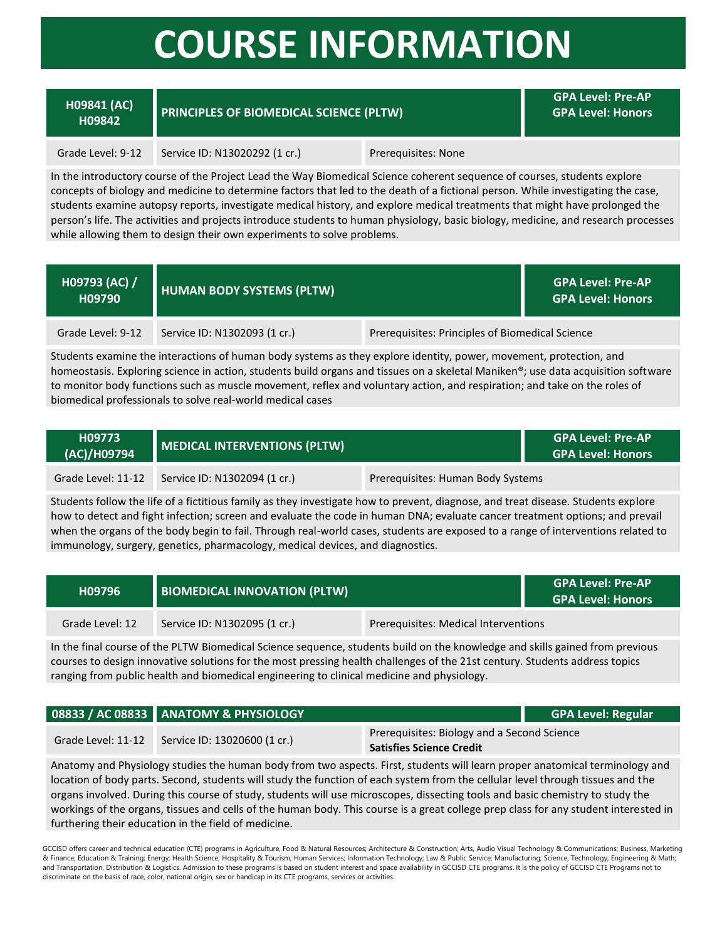## **COURSE INFORMATION**

### **H09841 (AC)**

### **H09842 PRINCIPLES OF BIOMEDICAL SCIENCE (PLTW)**

**GPA Level: Pre-AP GPA Level: Honors**

#### Grade Level: 9-12 Service ID: N13020292 (1 cr.) Prerequisites: None

In the introductory course of the Project Lead the Way Biomedical Science coherent sequence of courses, students explore concepts of biology and medicine to determine factors that led to the death of a fictional person. While investigating the case, students examine autopsy reports, investigate medical history, and explore medical treatments that might have prolonged the person's life. The activities and projects introduce students to human physiology, basic biology, medicine, and research processes while allowing them to design their own experiments to solve problems.

| H09793 (AC) /<br>H09790 | <b>HUMAN BODY SYSTEMS (PLTW)</b> |                                                 | <b>GPA Level: Pre-AP</b><br><b>GPA Level: Honors</b> |
|-------------------------|----------------------------------|-------------------------------------------------|------------------------------------------------------|
| Grade Level: 9-12       | Service ID: N1302093 (1 cr.)     | Prerequisites: Principles of Biomedical Science |                                                      |

Students examine the interactions of human body systems as they explore identity, power, movement, protection, and homeostasis. Exploring science in action, students build organs and tissues on a skeletal Maniken®; use data acquisition software to monitor body functions such as muscle movement, reflex and voluntary action, and respiration; and take on the roles of biomedical professionals to solve real-world medical cases

| H09773<br>(AC)/H09794 | MEDICAL INTERVENTIONS (PLTW) |                                   | <b>GPA Level: Pre-AP</b><br><b>GPA Level: Honors</b> |
|-----------------------|------------------------------|-----------------------------------|------------------------------------------------------|
| Grade Level: 11-12    | Service ID: N1302094 (1 cr.) | Prerequisites: Human Body Systems |                                                      |

Students follow the life of a fictitious family as they investigate how to prevent, diagnose, and treat disease. Students explore how to detect and fight infection; screen and evaluate the code in human DNA; evaluate cancer treatment options; and prevail when the organs of the body begin to fail. Through real-world cases, students are exposed to a range of interventions related to immunology, surgery, genetics, pharmacology, medical devices, and diagnostics.

| H09796          | <b>BIOMEDICAL INNOVATION (PLTW)</b> |                                      | <b>GPA Level: Pre-AP</b><br><b>GPA Level: Honors</b> |
|-----------------|-------------------------------------|--------------------------------------|------------------------------------------------------|
| Grade Level: 12 | Service ID: N1302095 (1 cr.)        | Prerequisites: Medical Interventions |                                                      |

In the final course of the PLTW Biomedical Science sequence, students build on the knowledge and skills gained from previous courses to design innovative solutions for the most pressing health challenges of the 21st century. Students address topics ranging from public health and biomedical engineering to clinical medicine and physiology.

|                    | 08833 / AC 08833 ANATOMY & PHYSIOLOGY |                                                                                | <b>GPA Level: Regular</b> |
|--------------------|---------------------------------------|--------------------------------------------------------------------------------|---------------------------|
| Grade Level: 11-12 | Service ID: 13020600 (1 cr.)          | Prerequisites: Biology and a Second Science<br><b>Satisfies Science Credit</b> |                           |

Anatomy and Physiology studies the human body from two aspects. First, students will learn proper anatomical terminology and location of body parts. Second, students will study the function of each system from the cellular level through tissues and the organs involved. During this course of study, students will use microscopes, dissecting tools and basic chemistry to study the workings of the organs, tissues and cells of the human body. This course is a great college prep class for any student interested in furthering their education in the field of medicine.

GCCISD offers career and technical education (CTE) programs in Agriculture, Food & Natural Resources; Architecture & Construction; Arts, Audio Visual Technology & Communications; Business, Marketing & Finance; Education & Training; Energy; Health Science; Hospitality & Tourism; Human Services; Information Technology; Law & Public Service; Manufacturing; Science, Technology, Engineering & Math; and Transportation, Distribution & Logistics. Admission to these programs is based on student interest and space availability in GCCISD CTE programs. It is the policy of GCCISD CTE Programs not to discriminate on the basis of race, color, national origin, sex or handicap in its CTE programs, services or activities.